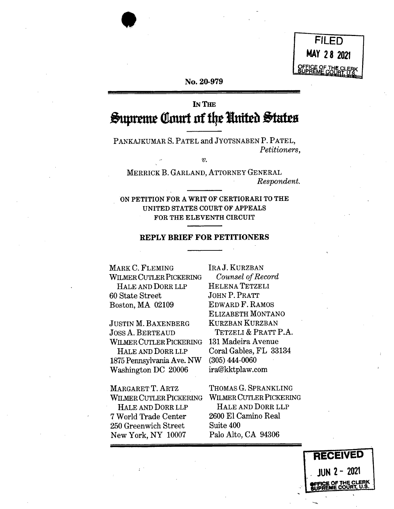FILED MAY 28 2021

#### No. 20-979

# **IN THE** Supreme Court of the United States

PANKAJKUMAR S. PATEL and JYOTSNABEN P. PATEL, Petitioners,

 $\overline{v}$ .

MERRICK B. GARLAND, ATTORNEY GENERAL Respondent.

ON PETITION FOR A WRIT OF CERTIORARI TO THE UNITED STATES COURT OF APPEALS FOR THE ELEVENTH CIRCUIT

#### **REPLY BRIEF FOR PETITIONERS**

MARK C. FLEMING WILMER CUTLER PICKERING HALE AND DORR LLP 60 State Street Boston, MA 02109

**JUSTIN M. BAXENBERG JOSS A. BERTEAUD** WILMER CUTLER PICKERING HALE AND DORR LLP

1875 Pennsylvania Ave. NW Washington DC 20006

MARGARET T. ARTZ **WILMER CUTLER PICKERING** HALE AND DORR LLP 7 World Trade Center 250 Greenwich Street New York, NY 10007

IRA J. KURZBAN Counsel of Record HELENA TETZELI **JOHN P. PRATT EDWARD F. RAMOS** ELIZABETH MONTANO **KURZBAN KURZBAN** TETZELI & PRATT P.A. 131 Madeira Avenue Coral Gables, FL 33134  $(305)$  444-0060 ira@kktplaw.com

THOMAS G. SPRANKLING WILMER CUTLER PICKERING HALE AND DORR LLP 2600 El Camino Real Suite 400 Palo Alto, CA 94306

> **RECEIVED** -2021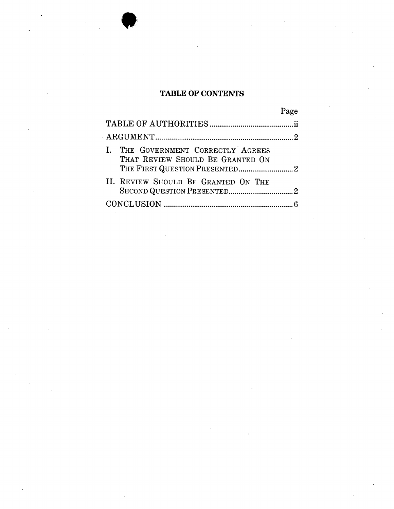### **TABLE OF CONTENTS**

|                                                                     | Page |
|---------------------------------------------------------------------|------|
|                                                                     |      |
|                                                                     |      |
| THE GOVERNMENT CORRECTLY AGREES<br>THAT REVIEW SHOULD BE GRANTED ON |      |
| II. REVIEW SHOULD BE GRANTED ON THE                                 |      |
|                                                                     |      |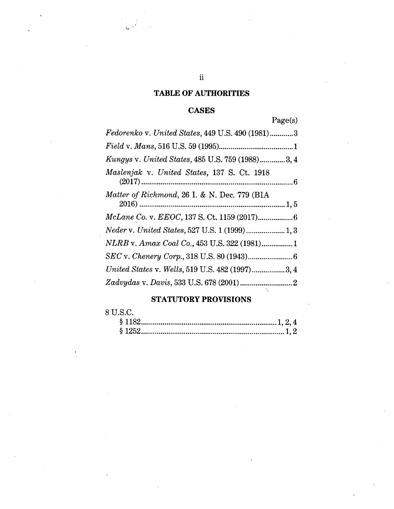## **TABLE OF AUTHORITIES**

## **CASES**

# Page(s)

| Fedorenko v. United States, 449 U.S. 490 (1981)3 |
|--------------------------------------------------|
|                                                  |
| Kungys v. United States, 485 U.S. 759 (1988)3, 4 |
| Maslenjak v. United States, 137 S. Ct. 1918      |
| Matter of Richmond, 26 I. & N. Dec. 779 (BIA     |
|                                                  |
|                                                  |
| NLRB v. Amax Coal Co., 453 U.S. 322 (1981)1      |
|                                                  |
| United States v. Wells, 519 U.S. 482 (1997)3, 4  |
|                                                  |

# **STATUTORY PROVISIONS**

## 8 U.S.C.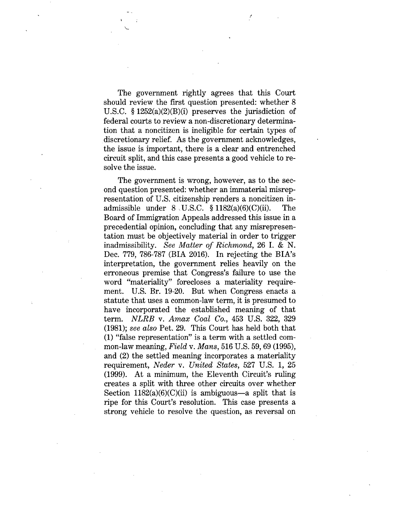The government rightly agrees that this Court should review the first question presented: whether 8 U.S.C. § 1252(a)(2)(B)(i) preserves the jurisdiction of federal courts to review a non-discretionary determination that a noncitizen is ineligible for certain types of discretionary relief. As the government acknowledges, the issue is important, there is a clear and entrenched circuit split, and this case presents a good vehicle to resolve the issue.

**V.**

The government is wrong, however, as to the second question presented: whether an immaterial misrepresentation of U.S. citizenship renders a noncitizen inadmissible under  $8 \text{ U.S.C. } § 1182(a)(6)(C)(ii)$ . Board of Immigration Appeals addressed this issue in a precedential opinion, concluding that any misrepresentation must be objectively material in order to trigger inadmissibility. *See Matter of Richmond,* 26 I. & N. Dec. 779, 786-787 (BIA 2016). In rejecting the BIA's interpretation, the government relies heavily on the erroneous premise that Congress's failure to use the word "materiality" forecloses a materiality requirement. U.S. Br. 19-20. But when Congress enacts a statute that uses a common-law term, it is presumed to have incorporated the established meaning of that term. *NLRB* v. *Amax Coal Co.,* 453 U.S. 322, 329 (1981); *see also* Pet. 29. This Court has held both that (1) "false representation" is a term with a settled common-law meaning, *Field* v. *Mans,* 516 U.S. 59, 69 (1995), and (2) the settled meaning incorporates a materiality requirement, *Neder* v. *United States,* 527 U.S. 1, 25 (1999). At a minimum, the Eleventh Circuit's ruling creates a split with three other circuits over whether Section  $1182(a)(6)(C)(ii)$  is ambiguous—a split that is ripe for this Court's resolution. This case presents a strong vehicle to resolve the question, as reversal on The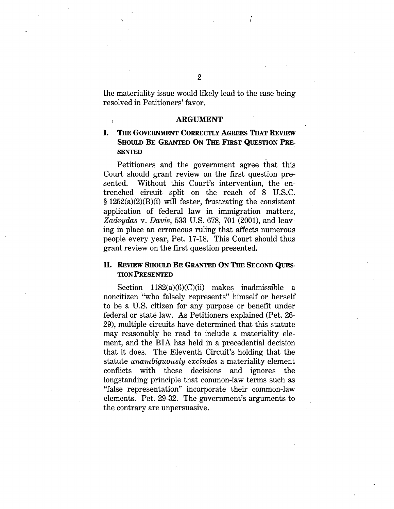the materiality issue would likely lead to the case being resolved in Petitioners' favor.

#### ARGUMENT

### I. The Government Correctly Agrees That Review Should Be Granted On The First Question Pre-**SENTED**

Petitioners and the government agree that this Court should grant review on the first question presented. Without this Court's intervention, the entrenched circuit split on the reach of 8 U.S.C. § 1252(a)(2)(B)(i) will fester, frustrating the consistent application of federal law in immigration matters, *Zadvydas* v. *Davis*, 533 U.S. 678, 701 (2001), and leaving in place an erroneous ruling that affects numerous people every year, Pet. 17-18. This Court should thus grant review on the first question presented.

### II. Review Should Be Granted On The Second Question Presented

Section  $1182(a)(6)(C)(ii)$  makes inadmissible a noncitizen "who falsely represents" himself or herself to be a U.S. citizen for any purpose or benefit under federal or state law. As Petitioners explained (Pet. 26- 29), multiple circuits have determined that this statute may reasonably be read to include a materiality element, and the BIA has held in a precedential decision that it does. The Eleventh Circuit's holding that the statute *unambiguously excludes* a materiality element conflicts with these decisions and ignores the longstanding principle that common-law terms such as "false representation" incorporate their common-law elements. Pet. 29-32. The government's arguments to the contrary are unpersuasive.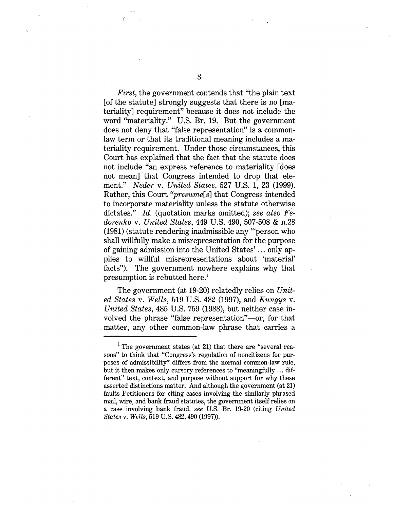*First,* the government contends that "the plain text [of the statute] strongly suggests that there is no [materiality] requirement" because it does not include the word "materiality." U.S. Br. 19. But the government does not deny that "false representation" is a commonlaw term or that its traditional meaning includes a materiality requirement. Under those circumstances, this Court has explained that the fact that the statute does not include "an express reference to materiality [does not mean] that Congress intended to drop that element." *Neder* v. *United States,* 527 U.S. 1, 23 (1999). Rather, this Court *"presume[s]* that Congress intended to incorporate materiality unless the statute otherwise dictates." *Id.* (quotation marks omitted); *see also Fedorenko* v. *United States,* 449 U.S. 490, 507-508 & n.28 (1981) (statute rendering inadmissible any '"person who shall willfully make a misrepresentation for the purpose of gaining admission into the United States'... only applies to willful misrepresentations about 'material' facts"). The government nowhere explains why that presumption is rebutted here.1

The government (at 19-20) relatedly relies on *United States* v. *Wells,* 519 U.S. 482 (1997), and *Kungys* v. *United States,* 485 U.S. 759 (1988), but neither case involved the phrase "false representation"—or, for that matter, any other common-law phrase that carries a

<sup>&</sup>lt;sup>1</sup> The government states (at 21) that there are "several reasons" to think that "Congress's regulation of noncitizens for purposes of admissibility" differs from the normal common-law rule, but it then makes only cursory references to "meaningfully ... different" text, context, and purpose without support for why these asserted distinctions matter. And although the government (at 21) faults Petitioners for citing cases involving the similarly phrased mail, wire, and bank fraud statutes, the government itself relies on a case involving bank fraud, *see* U.S. Br. 19-20 (citing *United States* v. *Wells,* 519 U.S. 482,490 (1997)).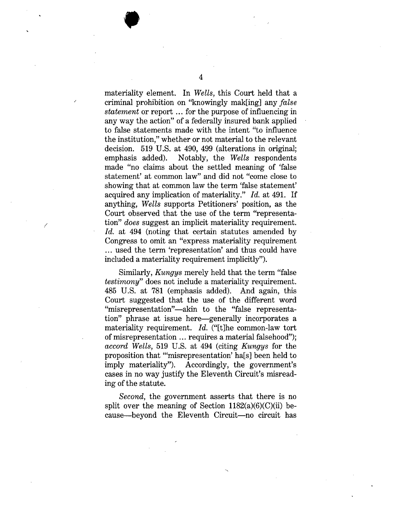materiality element. In *Wells,* this Court held that a criminal prohibition on "knowingly mak[ing] any *false statement* or report ... for the purpose of influencing in any way the action" of a federally insured bank applied to false statements made with the intent "to influence the institution," whether or not material to the relevant decision. 519 U.S. at 490, 499 (alterations in original; emphasis added). Notably, the *Wells* respondents made "no claims about the settled meaning of 'false statement' at common law" and did not "come close to showing that at common law the term 'false statement' acquired any implication of materiality." *Id.* at 491. If anything, *Wells* supports Petitioners' position, as the Court observed that the use of the term "representation" *does* suggest an implicit materiality requirement. *Id.* at 494 (noting that certain statutes amended by Congress to omit an "express materiality requirement ... used the term 'representation' and thus could have included a materiality requirement implicitly").

**/**

Similarly, *Kungys* merely held that the term "false *testimony*" does not include a materiality requirement. 485 U.S. at 781 (emphasis added). And again, this Court suggested that the use of the different word "misrepresentation"—akin to the "false representation" phrase at issue here—generally incorporates a materiality requirement. *Id.* ("[t]he common-law tort of misrepresentation ... requires a material falsehood"); *accord Wells,* 519 U.S. at 494 (citing *Kungys* for the proposition that "'misrepresentation' ha[s] been held to imply materiality"). Accordingly, the government's cases in no way justify the Eleventh Circuit's misreading of the statute.

*Second,* the government asserts that there is no split over the meaning of Section  $1182(a)(6)(C)(ii)$  because—beyond the Eleventh Circuit—no circuit has

4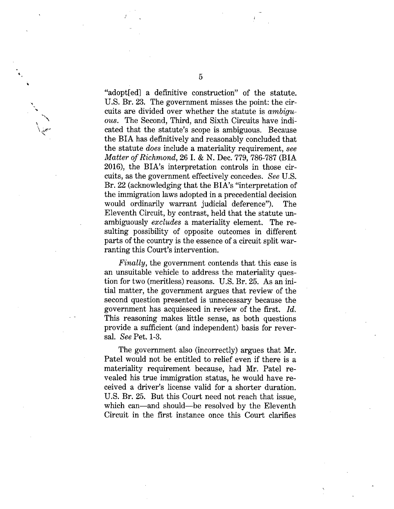"adopt[ed] a definitive construction" of the statute. U.S. Br. 23. The government misses the point: the circuits are divided over whether the statute is *ambiguous.* The Second, Third, and Sixth Circuits have indicated that the statute's scope is ambiguous. Because the BIA has definitively and reasonably concluded that the statute *does* include a materiality requirement, *see Matter of Richmond,* 26 I. & N. Dec. 779, 786-787 (BIA 2016), the BIA's interpretation controls in those circuits, as the government effectively concedes. *See* U.S. Br. 22 (acknowledging that the BIA's "interpretation of the immigration laws adopted in a precedential decision would ordinarily warrant judicial deference"). The Eleventh Circuit, by contrast, held that the statute unambiguously *excludes* a materiality element. The resulting possibility of opposite outcomes in different parts of the country is the essence of a circuit split warranting this Court's intervention.

*Finally,* the government contends that this case is an unsuitable vehicle to address the materiality question for two (meritless) reasons. U.S. Br. 25. As an initial matter, the government argues that review of the second question presented is unnecessary because the government has acquiesced in review of the first. *Id.* This reasoning makes little sense, as both questions provide a sufficient (and independent) basis for reversal. *See* Pet. 1-3.

The government also (incorrectly) argues that Mr. Patel would not be entitled to relief even if there is a materiality requirement because, had Mr. Patel revealed his true immigration status, he would have received a driver's license valid for a shorter duration. U.S. Br. 25. But this Court need not reach that issue, which can—and should—be resolved by the Eleventh Circuit in the first instance once this Court clarifies

**'\ \ \**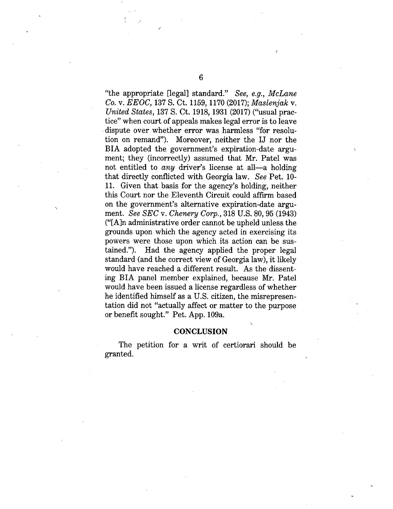"the appropriate [legal] standard." *See, e.g., McLane Co.* v. *EEOC,* 137 S. Ct. 1159,1170 (2017); *Maslenjak* v. *United States,* 137 S. Ct. 1918,1931 (2017) ("usual practice" when court of appeals makes legal error is to leave dispute over whether error was harmless "for resolution on remand"). Moreover, neither the IJ nor the BIA adopted the government's expiration-date argument; they (incorrectly) assumed that Mr. Patel was not entitled to *any* driver's license at all—a holding that directly conflicted with Georgia law. *See* Pet. 10- 11. Given that basis for the agency's holding, neither this Court nor the Eleventh Circuit could affirm based on the government's alternative expiration-date argument. *See SEC* v. *Chenery Corp.,* 318 U.S. 80, 95 (1943) ("[A]n administrative order cannot be upheld unless the grounds upon which the agency acted in exercising its powers were those upon which its action can be sustained."). Had the agency applied the proper legal standard (and the correct view of Georgia law), it likely would have reached a different result. As the dissenting BIA panel member explained, because Mr. Patel would have been issued a license regardless of whether he identified himself as a U.S. citizen, the misrepresentation did not "actually affect or matter to the purpose or benefit sought." Pet. App. 109a.

### **CONCLUSION**

The petition for a writ of certiorari should be granted.